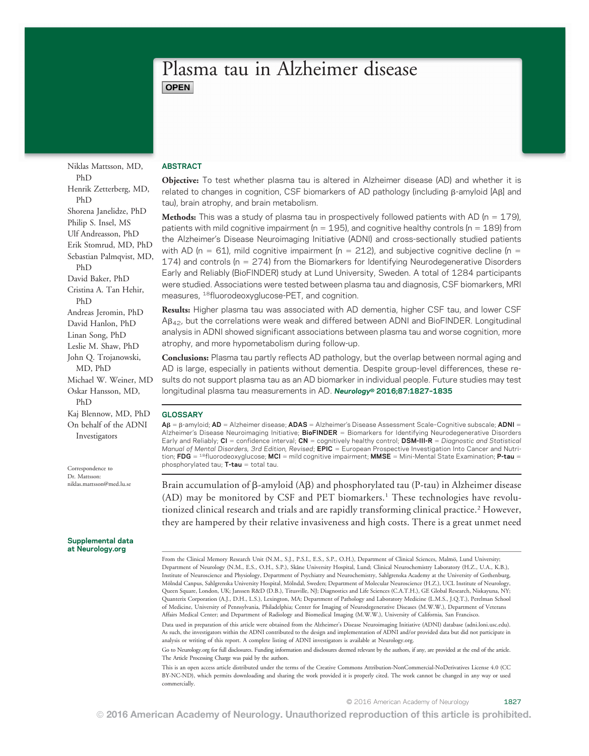# Plasma tau in Alzheimer disease **OPEN**

Niklas Mattsson, MD, PhD Henrik Zetterberg, MD, PhD Shorena Janelidze, PhD Philip S. Insel, MS Ulf Andreasson, PhD Erik Stomrud, MD, PhD Sebastian Palmqvist, MD, PhD David Baker, PhD Cristina A. Tan Hehir, PhD Andreas Jeromin, PhD David Hanlon, PhD Linan Song, PhD Leslie M. Shaw, PhD John Q. Trojanowski, MD, PhD Michael W. Weiner, MD Oskar Hansson, MD, PhD Kaj Blennow, MD, PhD On behalf of the ADNI Investigators

Correspondence to Dr. Mattsson: [niklas.mattsson@med.lu.se](mailto:niklas.mattsson@med.lu.se)

Supplemental data at [Neurology.org](http://neurology.org/lookup/doi/10.1212/WNL.0000000000003246)

## ABSTRACT

Objective: To test whether plasma tau is altered in Alzheimer disease (AD) and whether it is related to changes in cognition, CSF biomarkers of AD pathology (including  $\beta$ -amyloid [A $\beta$ ] and tau), brain atrophy, and brain metabolism.

**Methods:** This was a study of plasma tau in prospectively followed patients with AD ( $n = 179$ ), patients with mild cognitive impairment ( $n = 195$ ), and cognitive healthy controls ( $n = 189$ ) from the Alzheimer's Disease Neuroimaging Initiative (ADNI) and cross-sectionally studied patients with AD (n = 61), mild cognitive impairment (n = 212), and subjective cognitive decline (n = 174) and controls ( $n = 274$ ) from the Biomarkers for Identifying Neurodegenerative Disorders Early and Reliably (BioFINDER) study at Lund University, Sweden. A total of 1284 participants were studied. Associations were tested between plasma tau and diagnosis, CSF biomarkers, MRI measures, 18fluorodeoxyglucose-PET, and cognition.

Results: Higher plasma tau was associated with AD dementia, higher CSF tau, and lower CSF  $A\beta_{42}$ , but the correlations were weak and differed between ADNI and BioFINDER. Longitudinal analysis in ADNI showed significant associations between plasma tau and worse cognition, more atrophy, and more hypometabolism during follow-up.

Conclusions: Plasma tau partly reflects AD pathology, but the overlap between normal aging and AD is large, especially in patients without dementia. Despite group-level differences, these results do not support plasma tau as an AD biomarker in individual people. Future studies may test longitudinal plasma tau measurements in AD. Neurology® 2016;87:1827–<sup>1835</sup>

## **GLOSSARY**

 $\overline{AB}$  =  $\beta$ -amyloid;  $\overline{AD}$  = Alzheimer disease;  $\overline{ADAS}$  = Alzheimer's Disease Assessment Scale–Cognitive subscale;  $\overline{ADNI}$  = Alzheimer's Disease Neuroimaging Initiative; **BioFINDER** = Biomarkers for Identifying Neurodegenerative Disorders Early and Reliably;  $CI =$  confidence interval;  $CN =$  cognitively healthy control;  $DSM-III-R =$  Diagnostic and Statistical Manual of Mental Disorders, 3rd Edition, Revised; EPIC = European Prospective Investigation Into Cancer and Nutrition; FDG = 18fluorodeoxyglucose; MCI = mild cognitive impairment; MMSE = Mini-Mental State Examination; P-tau = phosphorylated tau;  $T$ -tau = total tau.

Brain accumulation of  $\beta$ -amyloid (A $\beta$ ) and phosphorylated tau (P-tau) in Alzheimer disease (AD) may be monitored by CSF and PET biomarkers.<sup>1</sup> These technologies have revolutionized clinical research and trials and are rapidly transforming clinical practice.<sup>2</sup> However, they are hampered by their relative invasiveness and high costs. There is a great unmet need

From the Clinical Memory Research Unit (N.M., S.J., P.S.I., E.S., S.P., O.H.), Department of Clinical Sciences, Malmö, Lund University; Department of Neurology (N.M., E.S., O.H., S.P.), Skåne University Hospital, Lund; Clinical Neurochemistry Laboratory (H.Z., U.A., K.B.), Institute of Neuroscience and Physiology, Department of Psychiatry and Neurochemistry, Sahlgrenska Academy at the University of Gothenburg, Mölndal Canpus, Sahlgrenska University Hospital, Mölndal, Sweden; Department of Molecular Neuroscience (H.Z.), UCL Institute of Neurology, Queen Square, London, UK; Janssen R&D (D.B.), Titusville, NJ; Diagnostics and Life Sciences (C.A.T.H.), GE Global Research, Niskayuna, NY; Quanterix Corporation (A.J., D.H., L.S.), Lexington, MA; Department of Pathology and Laboratory Medicine (L.M.S., J.Q.T.), Perelman School of Medicine, University of Pennsylvania, Philadelphia; Center for Imaging of Neurodegenerative Diseases (M.W.W.), Department of Veterans Affairs Medical Center; and Department of Radiology and Biomedical Imaging (M.W.W.), University of California, San Francisco.

Data used in preparation of this article were obtained from the Alzheimer's Disease Neuroimaging Initiative (ADNI) database [\(adni.loni.usc.edu\)](http://adni.loni.usc.edu). As such, the investigators within the ADNI contributed to the design and implementation of ADNI and/or provided data but did not participate in analysis or writing of this report. A complete listing of ADNI investigators is available at [Neurology.org.](http://neurology.org/lookup/doi/10.1212/WNL.0000000000003246)

Go to [Neurology.org](http://neurology.org/lookup/doi/10.1212/WNL.0000000000003246) for full disclosures. Funding information and disclosures deemed relevant by the authors, if any, are provided at the end of the article. The Article Processing Charge was paid by the authors.

This is an open access article distributed under the terms of the [Creative Commons Attribution-NonCommercial-NoDerivatives License 4.0 \(CC](http://creativecommons.org/licenses/by-nc-nd/4.0/) [BY-NC-ND\)](http://creativecommons.org/licenses/by-nc-nd/4.0/), which permits downloading and sharing the work provided it is properly cited. The work cannot be changed in any way or used commercially.

© 2016 American Academy of Neurology 1827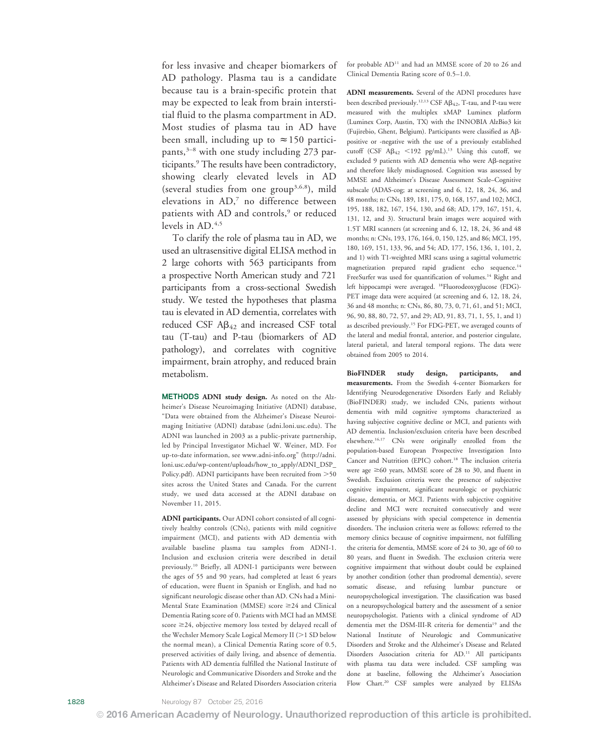for less invasive and cheaper biomarkers of AD pathology. Plasma tau is a candidate because tau is a brain-specific protein that may be expected to leak from brain interstitial fluid to the plasma compartment in AD. Most studies of plasma tau in AD have been small, including up to  $\approx$  150 participants, $3-8$  with one study including 273 participants.<sup>9</sup> The results have been contradictory, showing clearly elevated levels in AD (several studies from one group<sup>3,6,8</sup>), mild elevations in  $AD$ ,<sup>7</sup> no difference between patients with AD and controls,<sup>9</sup> or reduced levels in AD.<sup>4,5</sup>

To clarify the role of plasma tau in AD, we used an ultrasensitive digital ELISA method in 2 large cohorts with 563 participants from a prospective North American study and 721 participants from a cross-sectional Swedish study. We tested the hypotheses that plasma tau is elevated in AD dementia, correlates with reduced CSF  $\text{AB}_{42}$  and increased CSF total tau (T-tau) and P-tau (biomarkers of AD pathology), and correlates with cognitive impairment, brain atrophy, and reduced brain metabolism.

METHODS ADNI study design. As noted on the Alzheimer's Disease Neuroimaging Initiative (ADNI) database, "Data were obtained from the Alzheimer's Disease Neuroimaging Initiative (ADNI) database [\(adni.loni.usc.edu\)](http://adni.loni.usc.edu). The ADNI was launched in 2003 as a public-private partnership, led by Principal Investigator Michael W. Weiner, MD. For up-to-date information, see [www.adni-info.org](http://www.adni-info.org/)" ([http://adni.](http://adni.loni.usc.edu/wp-content/uploads/how_to_apply/ADNI_DSP_Policy.pdf) [loni.usc.edu/wp-content/uploads/how\\_to\\_apply/ADNI\\_DSP\\_](http://adni.loni.usc.edu/wp-content/uploads/how_to_apply/ADNI_DSP_Policy.pdf) [Policy.pdf](http://adni.loni.usc.edu/wp-content/uploads/how_to_apply/ADNI_DSP_Policy.pdf)). ADNI participants have been recruited from >50 sites across the United States and Canada. For the current study, we used data accessed at the ADNI database on November 11, 2015.

ADNI participants. Our ADNI cohort consisted of all cognitively healthy controls (CNs), patients with mild cognitive impairment (MCI), and patients with AD dementia with available baseline plasma tau samples from ADNI-1. Inclusion and exclusion criteria were described in detail previously.10 Briefly, all ADNI-1 participants were between the ages of 55 and 90 years, had completed at least 6 years of education, were fluent in Spanish or English, and had no significant neurologic disease other than AD. CNs had a Mini-Mental State Examination (MMSE) score  $\geq$ 24 and Clinical Dementia Rating score of 0. Patients with MCI had an MMSE score  $\geq$ 24, objective memory loss tested by delayed recall of the Wechsler Memory Scale Logical Memory II (>1 SD below the normal mean), a Clinical Dementia Rating score of 0.5, preserved activities of daily living, and absence of dementia. Patients with AD dementia fulfilled the National Institute of Neurologic and Communicative Disorders and Stroke and the Alzheimer's Disease and Related Disorders Association criteria

for probable AD<sup>11</sup> and had an MMSE score of 20 to 26 and Clinical Dementia Rating score of 0.5–1.0.

ADNI measurements. Several of the ADNI procedures have been described previously.<sup>12,13</sup> CSF A $\beta$ <sub>42</sub>, T-tau, and P-tau were measured with the multiplex xMAP Luminex platform (Luminex Corp, Austin, TX) with the INNOBIA AlzBio3 kit (Fujirebio, Ghent, Belgium). Participants were classified as Abpositive or -negative with the use of a previously established cutoff (CSF  $\text{A}\beta_{42}$  <192 pg/mL).<sup>13</sup> Using this cutoff, we excluded 9 patients with AD dementia who were Aß-negative and therefore likely misdiagnosed. Cognition was assessed by MMSE and Alzheimer's Disease Assessment Scale–Cognitive subscale (ADAS-cog; at screening and 6, 12, 18, 24, 36, and 48 months; n: CNs, 189, 181, 175, 0, 168, 157, and 102; MCI, 195, 188, 182, 167, 154, 130, and 68; AD, 179, 167, 151, 4, 131, 12, and 3). Structural brain images were acquired with 1.5T MRI scanners (at screening and 6, 12, 18, 24, 36 and 48 months; n: CNs, 193, 176, 164, 0, 150, 125, and 86; MCI, 195, 180, 169, 151, 133, 96, and 54; AD, 177, 156, 136, 1, 101, 2, and 1) with T1-weighted MRI scans using a sagittal volumetric magnetization prepared rapid gradient echo sequence.<sup>14</sup> FreeSurfer was used for quantification of volumes.<sup>14</sup> Right and left hippocampi were averaged. 18Fluorodeoxyglucose (FDG)- PET image data were acquired (at screening and 6, 12, 18, 24, 36 and 48 months; n: CNs, 86, 80, 73, 0, 71, 61, and 51; MCI, 96, 90, 88, 80, 72, 57, and 29; AD, 91, 83, 71, 1, 55, 1, and 1) as described previously.15 For FDG-PET, we averaged counts of the lateral and medial frontal, anterior, and posterior cingulate, lateral parietal, and lateral temporal regions. The data were obtained from 2005 to 2014.

BioFINDER study design, participants, and measurements. From the Swedish 4-center Biomarkers for Identifying Neurodegenerative Disorders Early and Reliably (BioFINDER) study, we included CNs, patients without dementia with mild cognitive symptoms characterized as having subjective cognitive decline or MCI, and patients with AD dementia. Inclusion/exclusion criteria have been described elsewhere.16,17 CNs were originally enrolled from the population-based European Prospective Investigation Into Cancer and Nutrition (EPIC) cohort.<sup>18</sup> The inclusion criteria were age  $\geq$  60 years, MMSE score of 28 to 30, and fluent in Swedish. Exclusion criteria were the presence of subjective cognitive impairment, significant neurologic or psychiatric disease, dementia, or MCI. Patients with subjective cognitive decline and MCI were recruited consecutively and were assessed by physicians with special competence in dementia disorders. The inclusion criteria were as follows: referred to the memory clinics because of cognitive impairment, not fulfilling the criteria for dementia, MMSE score of 24 to 30, age of 60 to 80 years, and fluent in Swedish. The exclusion criteria were cognitive impairment that without doubt could be explained by another condition (other than prodromal dementia), severe somatic disease, and refusing lumbar puncture or neuropsychological investigation. The classification was based on a neuropsychological battery and the assessment of a senior neuropsychologist. Patients with a clinical syndrome of AD dementia met the DSM-III-R criteria for dementia19 and the National Institute of Neurologic and Communicative Disorders and Stroke and the Alzheimer's Disease and Related Disorders Association criteria for AD.11 All participants with plasma tau data were included. CSF sampling was done at baseline, following the Alzheimer's Association Flow Chart.<sup>20</sup> CSF samples were analyzed by ELISAs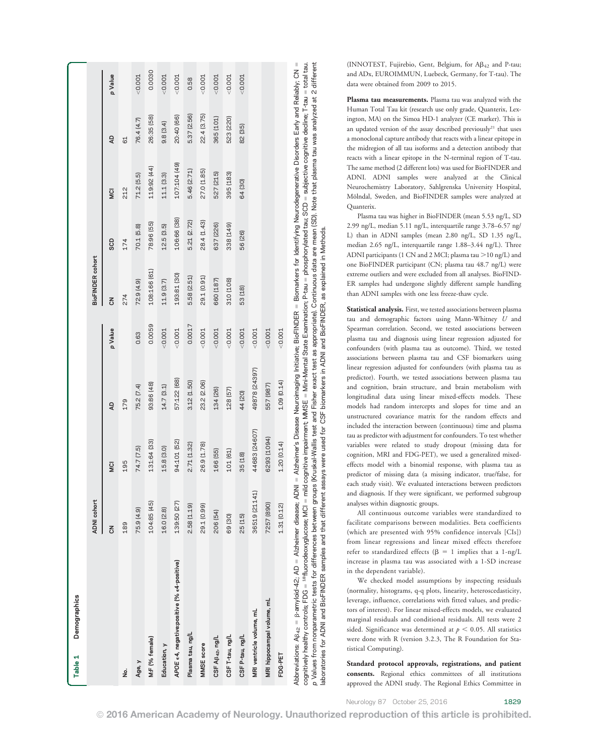| Demographics<br>Table 1                                                                                                                                                                                                        |                    |                 |               |         |                         |             |              |             |         |
|--------------------------------------------------------------------------------------------------------------------------------------------------------------------------------------------------------------------------------|--------------------|-----------------|---------------|---------|-------------------------|-------------|--------------|-------------|---------|
|                                                                                                                                                                                                                                | <b>ADNI cohort</b> |                 |               |         | <b>BioFINDER</b> cohort |             |              |             |         |
|                                                                                                                                                                                                                                | $\overline{5}$     | $\overline{S}$  | Q             | p Value | $\overline{5}$          | cos         | <b>MCI</b>   | Q           | p Value |
| <u>ş</u>                                                                                                                                                                                                                       | 189                | 195             | 179           |         | 274                     | 174         | 212          | 61          |         |
| Age, y                                                                                                                                                                                                                         | 75.9 (4.9)         | (7.5)<br>74.7   | 75.2 (7.4)    | 0.63    | 72.9 (4.9)              | 70.1 (5.8)  | 71.2(5.5)    | 76.4 (4.7)  | < 0.001 |
| M:F (% female)                                                                                                                                                                                                                 | 104:85 (45)        | 64 (33)<br>131: | 93:86 (48)    | 0.0059  | 108:166 (61)            | 78:96 (55)  | 119:92 (44)  | 26:35 (58)  | 0.0030  |
| Education, y                                                                                                                                                                                                                   | 16.0 (2.8)         | (3.0)<br>15.8   | 14.7(3.1)     | < 0.001 | 11.9 (3.7)              | 12.5(3.5)   | 11.1(3.3)    | 9.8(3.4)    | < 0.001 |
| APOE <4, negative:positive (% <4-positive)                                                                                                                                                                                     | 139:50 (27)        | 94:101 (52)     | 57:122 (68)   | < 0.001 | 193.81 (30)             | 106:66 (38) | (67) 707:Z07 | 20:40 (66)  | < 0.001 |
| Plasma tau, ng/L                                                                                                                                                                                                               | 2.58 (1.19)        | (1.32)<br>2.71  | 3.12(1.50)    | 0.0017  | 5.58 (2.51)             | 5.21 (2.72) | 5.46 (2.71)  | 5.37 (2.56) | 0.58    |
| MMSE score                                                                                                                                                                                                                     | 29.1 (0.99)        | (1.78)<br>26.9  | 23.2 (2.06)   | < 0.001 | 29.1 (0.91)             | 28.4 (1.43) | 27.0 (1.85)  | 22.4 (3.75) | < 0.001 |
| CSF AB <sub>42</sub> , ng/L                                                                                                                                                                                                    | 206 (54)           | (55)<br>166     | 134 (26)      | < 0.001 | 660 (187)               | 637 (226)   | 527 (215)    | 365 (101)   | 0.001   |
| CSF T-tau, ng/L                                                                                                                                                                                                                | 69 (30)            | (61)<br>101     | 128 (57)      | < 0.001 | 310 (108)               | 338 (149)   | 395 (183)    | 523 (220)   | < 0.001 |
| CSF P-tau, ng/L                                                                                                                                                                                                                | 25 (15)            | 35 (18)         | 44 (20)       | < 0.001 | 53 (18)                 | 56 (26)     | 64 (30)      | 82 (35)     | < 0.001 |
| MRI ventricle volume, mL                                                                                                                                                                                                       | 36519 (21141)      | 44683 (24607)   | 49878 (24397) | < 0.001 |                         |             |              |             |         |
| MRI hippocampal volume, mL                                                                                                                                                                                                     | 7257 (890)         | 6293 (1094)     | 557 (987)     | < 0.001 |                         |             |              |             |         |
| FDG-PET                                                                                                                                                                                                                        | 1.31 (0.12)        | (0.14)<br>1.20  | 1.09 (0.14)   | < 0.001 |                         |             |              |             |         |
| http://www.ati.mer. And.ati.mer. Alopeimer.dios.co. Alopeimer's Disease Nauroimanal District Disconders for Identifying Naurodenerstive Diserctive Disease Discriming Dalighty. CN – Alopeimer Disease Displicative Displicati |                    |                 |               |         |                         |             |              |             |         |

p Values from nonparametric tests for differences between groups (Kruskal-Wallis test and Fisher exact test as appropriate). Continuous data are mean (SD). Note that plasma tau was analyzed at 2 different Abbreviations: AB42; AD = Alzheimer disease; ADNI = Alzheimer's Disease Neuroimaging Initiative; BioFINDER = Biomarkers for Identifying Neurodegenerative Disorders Early and Reliably; CN = cognitively healthy controls; FDG = <sup>18</sup>fluorodeoxyglucose; MCI = mild cognitive impairment; MMSE = Mini-Mental State Examination; P-tau = phosphorylated tau; SCD = subjective cognitive decline; T-tau = total tau. cognitively healthy controls; FDG = <sup>18</sup>fluorodeoxyglucose; MCI = mild cognitive impairment; MMSE = Mini-Mental State Examination; P-tau = phosphorylated tau; SCD = subjective cognitive decline; T-tau = total tau. p Values from nonparametric tests for differences between groups (Kruskal-Wallis test and Fisher exact test as appropriate). Continuous data are mean (SD). Note that plasma tau was analyzed at 2 different "≺ きこうこう laboratories for ADNI and BioFINDER samples and that different assays were used for CSF biomarkers in ADNI and BioFINDER, as explained in Methods. laboratories for ADNI and BioFINDER samples and that different assays were used for CSF biomarkers in ADNI and BioFINDER, as explained in Methods. ַכ ن<br>+ **1042** 

(INNOTEST, Fujirebio, Gent, Belgium, for  $AB_{42}$  and P-tau; and ADx, EUROIMMUN, Luebeck, Germany, for T-tau). The data were obtained from 2009 to 2015.

Plasma tau measurements. Plasma tau was analyzed with the Human Total Tau kit (research use only grade, Quanterix, Lexington, MA) on the Simoa HD-1 analyzer (CE marker). This is an updated version of the assay described previously<sup>21</sup> that uses a monoclonal capture antibody that reacts with a linear epitope in the midregion of all tau isoforms and a detection antibody that reacts with a linear epitope in the N-terminal region of T-tau. The same method (2 different lots) was used for BioFINDER and ADNI. ADNI samples were analyzed at the Clinical Neurochemistry Laboratory, Sahlgrenska University Hospital, Mölndal, Sweden, and BioFINDER samples were analyzed at Quanterix.

Plasma tau was higher in BioFINDER (mean 5.53 ng/L, SD 2.99 ng/L, median 5.11 ng/L, interquartile range 3.78–6.57 ng/ L) than in ADNI samples (mean 2.80 ng/L, SD 1.35 ng/L, median 2.65 ng/L, interquartile range 1.88–3.44 ng/L). Three ADNI participants (1 CN and 2 MCI; plasma tau  $>$  10 ng/L) and one BioFINDER participant (CN; plasma tau 48.7 ng/L) were extreme outliers and were excluded from all analyses. BioFIND-ER samples had undergone slightly different sample handling than ADNI samples with one less freeze-thaw cycle.

Statistical analysis. First, we tested associations between plasma tau and demographic factors using Mann-Whitney U and Spearman correlation. Second, we tested associations between plasma tau and diagnosis using linear regression adjusted for confounders (with plasma tau as outcome). Third, we tested associations between plasma tau and CSF biomarkers using linear regression adjusted for confounders (with plasma tau as predictor). Fourth, we tested associations between plasma tau and cognition, brain structure, and brain metabolism with longitudinal data using linear mixed-effects models. These models had random intercepts and slopes for time and an unstructured covariance matrix for the random effects and included the interaction between (continuous) time and plasma tau as predictor with adjustment for confounders. To test whether variables were related to study dropout (missing data for cognition, MRI and FDG-PET), we used a generalized mixedeffects model with a binomial response, with plasma tau as predictor of missing data (a missing indicator, true/false, for each study visit). We evaluated interactions between predictors and diagnosis. If they were significant, we performed subgroup analyses within diagnostic groups.

All continuous outcome variables were standardized to facilitate comparisons between modalities. Beta coefficients (which are presented with 95% confidence intervals [CIs]) from linear regressions and linear mixed effects therefore refer to standardized effects ( $\beta = 1$  implies that a 1-ng/L increase in plasma tau was associated with a 1-SD increase in the dependent variable).

We checked model assumptions by inspecting residuals (normality, histograms, q-q plots, linearity, heteroscedasticity, leverage, influence, correlations with fitted values, and predictors of interest). For linear mixed-effects models, we evaluated marginal residuals and conditional residuals. All tests were 2 sided. Significance was determined at  $p < 0.05$ . All statistics were done with R (version 3.2.3, The R Foundation for Statistical Computing).

Standard protocol approvals, registrations, and patient consents. Regional ethics committees of all institutions approved the ADNI study. The Regional Ethics Committee in

Neurology 87 October 25, 2016 1829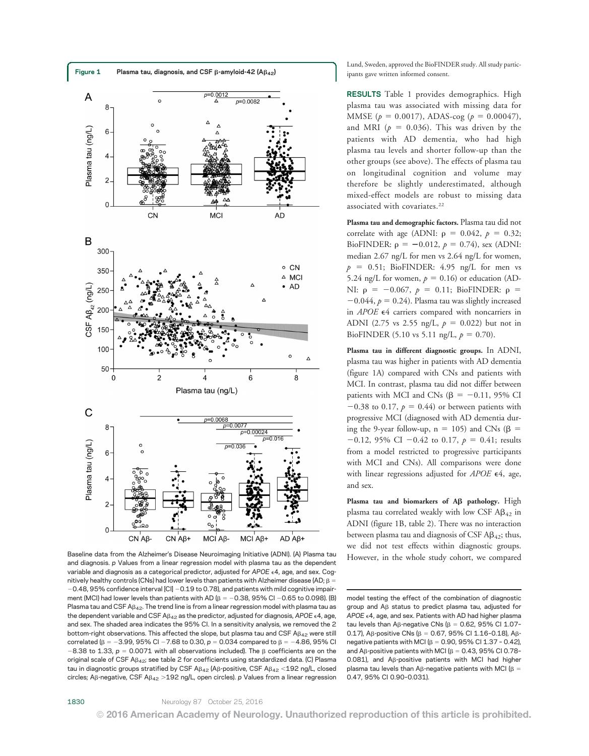

Baseline data from the Alzheimer's Disease Neuroimaging Initiative (ADNI). (A) Plasma tau and diagnosis. p Values from a linear regression model with plasma tau as the dependent variable and diagnosis as a categorical predictor, adjusted for APOE e4, age, and sex. Cognitively healthy controls (CNs) had lower levels than patients with Alzheimer disease (AD;  $\beta$  =  $-0.48$ , 95% confidence interval [CI]  $-0.19$  to 0.78), and patients with mild cognitive impairment (MCI) had lower levels than patients with AD ( $\beta = -0.38$ , 95% CI -0.65 to 0.098). (B) Plasma tau and CSF A $\beta_{42}$ . The trend line is from a linear regression model with plasma tau as the dependent variable and CSF A $\beta_{42}$  as the predictor, adjusted for diagnosis, APOE  $\epsilon$ 4, age, and sex. The shaded area indicates the 95% CI. In a sensitivity analysis, we removed the 2 bottom-right observations. This affected the slope, but plasma tau and CSF  $A\beta_{42}$  were still correlated ( $\beta = -3.99$ , 95% CI -7.68 to 0.30,  $p = 0.034$  compared to  $\beta = -4.86$ , 95% CI -8.38 to 1.33,  $p = 0.0071$  with all observations included). The  $\beta$  coefficients are on the original scale of CSF  $A\beta_{42}$ ; see table 2 for coefficients using standardized data. (C) Plasma tau in diagnostic groups stratified by CSF  $A\beta_{42}$  (A $\beta$ -positive, CSF  $A\beta_{42}$  < 192 ng/L, closed circles; A $\beta$ -negative, CSF A $\beta_{42}$  >192 ng/L, open circles). p Values from a linear regression

Lund, Sweden, approved the BioFINDER study. All study participants gave written informed consent.

RESULTS Table 1 provides demographics. High plasma tau was associated with missing data for MMSE ( $p = 0.0017$ ), ADAS-cog ( $p = 0.00047$ ), and MRI ( $p = 0.036$ ). This was driven by the patients with AD dementia, who had high plasma tau levels and shorter follow-up than the other groups (see above). The effects of plasma tau on longitudinal cognition and volume may therefore be slightly underestimated, although mixed-effect models are robust to missing data associated with covariates.<sup>22</sup>

Plasma tau and demographic factors. Plasma tau did not correlate with age (ADNI:  $\rho = 0.042$ ,  $p = 0.32$ ; BioFINDER:  $\rho = -0.012$ ,  $p = 0.74$ ), sex (ADNI: median 2.67 ng/L for men vs 2.64 ng/L for women,  $p = 0.51$ ; BioFINDER: 4.95 ng/L for men vs 5.24 ng/L for women,  $p = 0.16$ ) or education (AD-NI:  $\rho = -0.067$ ,  $p = 0.11$ ; BioFINDER:  $\rho =$  $-0.044$ ,  $p = 0.24$ ). Plasma tau was slightly increased in  $APOE \in 4$  carriers compared with noncarriers in ADNI (2.75 vs 2.55 ng/L,  $p = 0.022$ ) but not in BioFINDER (5.10 vs 5.11 ng/L,  $p = 0.70$ ).

Plasma tau in different diagnostic groups. In ADNI, plasma tau was higher in patients with AD dementia (figure 1A) compared with CNs and patients with MCI. In contrast, plasma tau did not differ between patients with MCI and CNs ( $\beta$  = -0.11, 95% CI  $-0.38$  to 0.17,  $p = 0.44$ ) or between patients with progressive MCI (diagnosed with AD dementia during the 9-year follow-up,  $n = 105$ ) and CNs ( $\beta =$  $-0.12$ , 95% CI  $-0.42$  to 0.17,  $p = 0.41$ ; results from a model restricted to progressive participants with MCI and CNs). All comparisons were done with linear regressions adjusted for  $APOE \in 4$ , age, and sex.

Plasma tau and biomarkers of Aß pathology. High plasma tau correlated weakly with low CSF  $\text{A}\beta_{42}$  in ADNI (figure 1B, table 2). There was no interaction between plasma tau and diagnosis of CSF  $\text{AB}_{42}$ ; thus, we did not test effects within diagnostic groups. However, in the whole study cohort, we compared

model testing the effect of the combination of diagnostic group and  $A\beta$  status to predict plasma tau, adjusted for APOE  $\epsilon$ 4, age, and sex. Patients with AD had higher plasma tau levels than A $\beta$ -negative CNs ( $\beta$  = 0.62, 95% CI 1.07-0.17), A<sub>B</sub>-positive CNs ( $\beta$  = 0.67, 95% CI 1.16-0.18), A<sub>B</sub>negative patients with MCI ( $\beta$  = 0.90, 95% CI 1.37 - 0.42), and A $\beta$ -positive patients with MCI ( $\beta$  = 0.43, 95% CI 0.78– 0.081), and Ab-positive patients with MCI had higher plasma tau levels than A $\beta$ -negative patients with MCI ( $\beta =$ 0.47, 95% CI 0.90–0.031).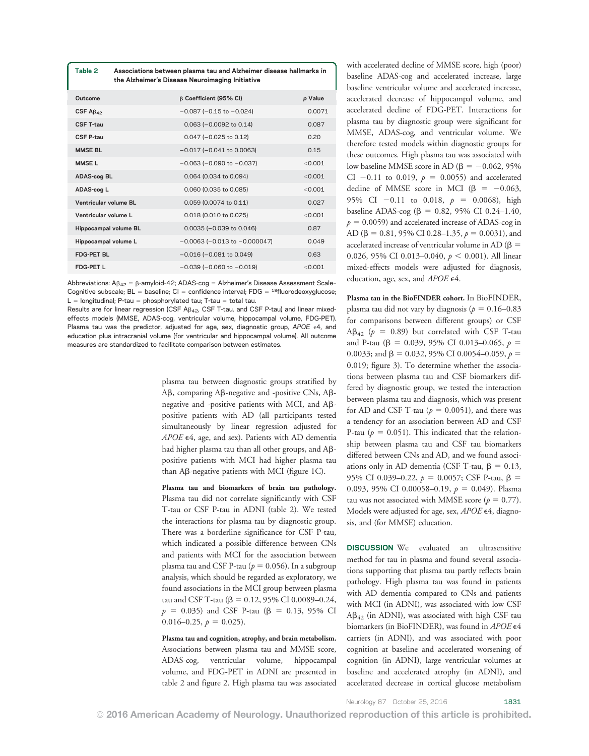| Table 2                | Associations between plasma tau and Alzheimer disease hallmarks in<br>the Alzheimer's Disease Neuroimaging Initiative |                                       |           |  |  |
|------------------------|-----------------------------------------------------------------------------------------------------------------------|---------------------------------------|-----------|--|--|
| Outcome                |                                                                                                                       | <b>B Coefficient (95% CI)</b>         | p Value   |  |  |
| CSF $\mathsf{AB}_{42}$ |                                                                                                                       | $-0.087$ ( $-0.15$ to $-0.024$ )      | 0.0071    |  |  |
| <b>CSF T-tau</b>       |                                                                                                                       | $0.063$ (-0.0092 to 0.14)             | 0.087     |  |  |
| CSF P-tau              |                                                                                                                       | $0.047$ (-0.025 to 0.12)              | 0.20      |  |  |
| <b>MMSE BL</b>         |                                                                                                                       | $-0.017$ ( $-0.041$ to 0.0063)        | 0.15      |  |  |
| <b>MMSEL</b>           |                                                                                                                       | $-0.063$ ( $-0.090$ to $-0.037$ )     | < 0.001   |  |  |
| ADAS-cog BL            |                                                                                                                       | 0.064 (0.034 to 0.094)                | $<$ 0.001 |  |  |
| ADAS-cog L             |                                                                                                                       | 0.060 (0.035 to 0.085)                | < 0.001   |  |  |
| Ventricular volume BL  |                                                                                                                       | 0.059 (0.0074 to 0.11)                | 0.027     |  |  |
| Ventricular volume L   |                                                                                                                       | 0.018 (0.010 to 0.025)                | < 0.001   |  |  |
| Hippocampal volume BL  |                                                                                                                       | $0.0035 (-0.039)$ to $0.046$          | 0.87      |  |  |
| Hippocampal volume L   |                                                                                                                       | $-0.0063$ ( $-0.013$ to $-0.000047$ ) | 0.049     |  |  |
| <b>FDG-PET BL</b>      |                                                                                                                       | $-0.016$ ( $-0.081$ to 0.049)         | 0.63      |  |  |
| FDG-PET L              |                                                                                                                       | $-0.039$ ( $-0.060$ to $-0.019$ )     | < 0.001   |  |  |
|                        |                                                                                                                       |                                       |           |  |  |

Abbreviations:  $A\beta_{42} = \beta$ -amyloid-42; ADAS-cog = Alzheimer's Disease Assessment Scale-Cognitive subscale; BL = baseline; CI = confidence interval; FDG =  $^{18}$ fluorodeoxyglucose;  $L =$  longitudinal; P-tau = phosphorylated tau; T-tau = total tau.

Results are for linear regression (CSF  $\mathsf{A}\beta_{42}$ , CSF T-tau, and CSF P-tau) and linear mixedeffects models (MMSE, ADAS-cog, ventricular volume, hippocampal volume, FDG-PET). Plasma tau was the predictor, adjusted for age, sex, diagnostic group,  $APOE \epsilon 4$ , and education plus intracranial volume (for ventricular and hippocampal volume). All outcome measures are standardized to facilitate comparison between estimates.

> plasma tau between diagnostic groups stratified by  $\overrightarrow{AB}$ , comparing  $\overrightarrow{AB}$ -negative and -positive CNs,  $\overrightarrow{AB}$ negative and -positive patients with MCI, and Abpositive patients with AD (all participants tested simultaneously by linear regression adjusted for  $APOE \in 4$ , age, and sex). Patients with AD dementia had higher plasma tau than all other groups, and Aßpositive patients with MCI had higher plasma tau than A $\beta$ -negative patients with MCI (figure 1C).

> Plasma tau and biomarkers of brain tau pathology. Plasma tau did not correlate significantly with CSF T-tau or CSF P-tau in ADNI (table 2). We tested the interactions for plasma tau by diagnostic group. There was a borderline significance for CSF P-tau, which indicated a possible difference between CNs and patients with MCI for the association between plasma tau and CSF P-tau ( $p = 0.056$ ). In a subgroup analysis, which should be regarded as exploratory, we found associations in the MCI group between plasma tau and CSF T-tau ( $\beta = 0.12$ , 95% CI 0.0089-0.24,  $p = 0.035$ ) and CSF P-tau ( $\beta = 0.13$ , 95% CI 0.016–0.25,  $p = 0.025$ .

> Plasma tau and cognition, atrophy, and brain metabolism. Associations between plasma tau and MMSE score, ADAS-cog, ventricular volume, hippocampal volume, and FDG-PET in ADNI are presented in table 2 and figure 2. High plasma tau was associated

with accelerated decline of MMSE score, high (poor) baseline ADAS-cog and accelerated increase, large baseline ventricular volume and accelerated increase, accelerated decrease of hippocampal volume, and accelerated decline of FDG-PET. Interactions for plasma tau by diagnostic group were significant for MMSE, ADAS-cog, and ventricular volume. We therefore tested models within diagnostic groups for these outcomes. High plasma tau was associated with low baseline MMSE score in AD ( $\beta$  = -0.062, 95%) CI -0.11 to 0.019,  $p = 0.0055$ ) and accelerated decline of MMSE score in MCI  $(\beta = -0.063,$ 95% CI -0.11 to 0.018,  $p = 0.0068$ ), high baseline ADAS-cog ( $\beta = 0.82, 95\%$  CI 0.24–1.40,  $p = 0.0059$ ) and accelerated increase of ADAS-cog in AD ( $\beta$  = 0.81, 95% CI 0.28–1.35,  $p$  = 0.0031), and accelerated increase of ventricular volume in AD ( $\beta$  = 0.026, 95% CI 0.013–0.040,  $p < 0.001$ ). All linear mixed-effects models were adjusted for diagnosis, education, age, sex, and  $APOE \in 4$ .

Plasma tau in the BioFINDER cohort. In BioFINDER, plasma tau did not vary by diagnosis ( $p = 0.16$ –0.83 for comparisons between different groups) or CSF  $AB_{42}$  ( $p = 0.89$ ) but correlated with CSF T-tau and P-tau ( $\beta$  = 0.039, 95% CI 0.013-0.065,  $p =$ 0.0033; and  $\beta$  = 0.032, 95% CI 0.0054–0.059,  $p =$ 0.019; figure 3). To determine whether the associations between plasma tau and CSF biomarkers differed by diagnostic group, we tested the interaction between plasma tau and diagnosis, which was present for AD and CSF T-tau ( $p = 0.0051$ ), and there was a tendency for an association between AD and CSF P-tau ( $p = 0.051$ ). This indicated that the relationship between plasma tau and CSF tau biomarkers differed between CNs and AD, and we found associations only in AD dementia (CSF T-tau,  $\beta = 0.13$ , 95% CI 0.039–0.22,  $p = 0.0057$ ; CSF P-tau,  $\beta =$ 0.093, 95% CI 0.00058-0.19,  $p = 0.049$ ). Plasma tau was not associated with MMSE score ( $p = 0.77$ ). Models were adjusted for age, sex,  $APOE \in 4$ , diagnosis, and (for MMSE) education.

DISCUSSION We evaluated an ultrasensitive method for tau in plasma and found several associations supporting that plasma tau partly reflects brain pathology. High plasma tau was found in patients with AD dementia compared to CNs and patients with MCI (in ADNI), was associated with low CSF  $AB_{42}$  (in ADNI), was associated with high CSF tau biomarkers (in BioFINDER), was found in  $APOE \in 4$ carriers (in ADNI), and was associated with poor cognition at baseline and accelerated worsening of cognition (in ADNI), large ventricular volumes at baseline and accelerated atrophy (in ADNI), and accelerated decrease in cortical glucose metabolism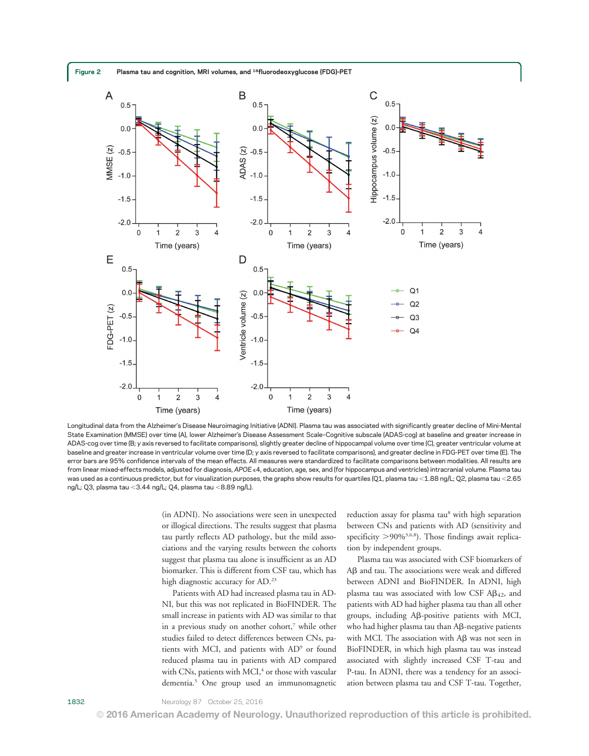

Longitudinal data from the Alzheimer's Disease Neuroimaging Initiative (ADNI). Plasma tau was associated with significantly greater decline of Mini-Mental State Examination (MMSE) over time (A), lower Alzheimer's Disease Assessment Scale–Cognitive subscale (ADAS-cog) at baseline and greater increase in ADAS-cog over time (B; y axis reversed to facilitate comparisons), slightly greater decline of hippocampal volume over time (C), greater ventricular volume at baseline and greater increase in ventricular volume over time (D; y axis reversed to facilitate comparisons), and greater decline in FDG-PET over time (E). The error bars are 95% confidence intervals of the mean effects. All measures were standardized to facilitate comparisons between modalities. All results are from linear mixed-effects models, adjusted for diagnosis, APOE <sub>€</sub>4, education, age, sex, and (for hippocampus and ventricles) intracranial volume. Plasma tau was used as a continuous predictor, but for visualization purposes, the graphs show results for quartiles (Q1, plasma tau <1.88 ng/L; Q2, plasma tau <2.65 ng/L; Q3, plasma tau  $<$ 3.44 ng/L; Q4, plasma tau  $<$ 8.89 ng/L).

(in ADNI). No associations were seen in unexpected or illogical directions. The results suggest that plasma tau partly reflects AD pathology, but the mild associations and the varying results between the cohorts suggest that plasma tau alone is insufficient as an AD biomarker. This is different from CSF tau, which has high diagnostic accuracy for AD.<sup>23</sup>

Patients with AD had increased plasma tau in AD-NI, but this was not replicated in BioFINDER. The small increase in patients with AD was similar to that in a previous study on another cohort, $7$  while other studies failed to detect differences between CNs, patients with MCI, and patients with AD9 or found reduced plasma tau in patients with AD compared with CNs, patients with MCI,<sup>4</sup> or those with vascular dementia.5 One group used an immunomagnetic reduction assay for plasma tau<sup>8</sup> with high separation between CNs and patients with AD (sensitivity and specificity  $>$ 90%<sup>3,6,8</sup>). Those findings await replication by independent groups.

Plasma tau was associated with CSF biomarkers of AB and tau. The associations were weak and differed between ADNI and BioFINDER. In ADNI, high plasma tau was associated with low CSF  $\text{AB}_{42}$ , and patients with AD had higher plasma tau than all other groups, including  $\mathsf{AB}\text{-}\mathsf{positive}$  patients with MCI, who had higher plasma tau than  $\overline{AB}$ -negative patients with MCI. The association with  $\text{AB}$  was not seen in BioFINDER, in which high plasma tau was instead associated with slightly increased CSF T-tau and P-tau. In ADNI, there was a tendency for an association between plasma tau and CSF T-tau. Together,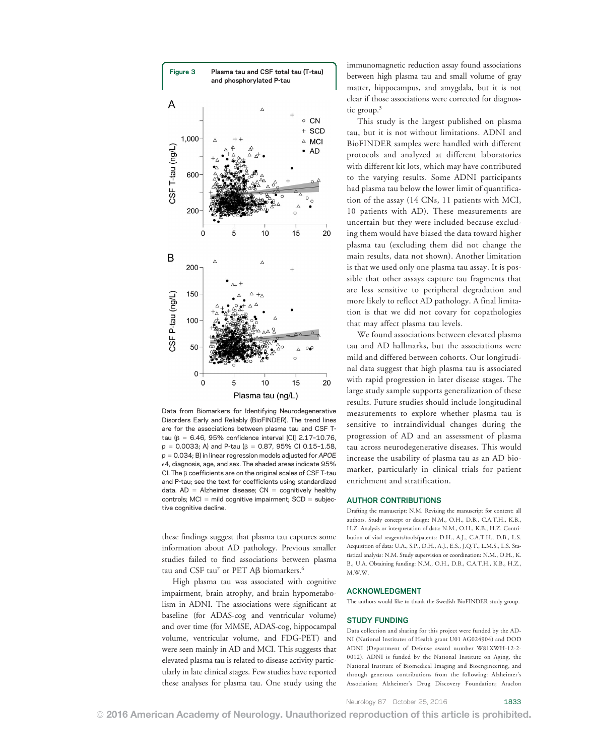

Data from Biomarkers for Identifying Neurodegenerative Disorders Early and Reliably (BioFINDER). The trend lines are for the associations between plasma tau and CSF Ttau ( $\beta = 6.46$ , 95% confidence interval [CI] 2.17-10.76,  $p = 0.0033$ ; A) and P-tau ( $\beta = 0.87$ , 95% CI 0.15-1.58,  $p = 0.034$ ; B) in linear regression models adjusted for APOE e4, diagnosis, age, and sex. The shaded areas indicate 95% CI. The  $\beta$  coefficients are on the original scales of CSF T-tau and P-tau; see the text for coefficients using standardized data.  $AD =$  Alzheimer disease;  $CN =$  cognitively healthy controls;  $MCI = mild cognitive impairment; SCD = subject$ tive cognitive decline.

these findings suggest that plasma tau captures some information about AD pathology. Previous smaller studies failed to find associations between plasma tau and CSF tau<sup>7</sup> or PET A $\beta$  biomarkers.<sup>6</sup>

High plasma tau was associated with cognitive impairment, brain atrophy, and brain hypometabolism in ADNI. The associations were significant at baseline (for ADAS-cog and ventricular volume) and over time (for MMSE, ADAS-cog, hippocampal volume, ventricular volume, and FDG-PET) and were seen mainly in AD and MCI. This suggests that elevated plasma tau is related to disease activity particularly in late clinical stages. Few studies have reported these analyses for plasma tau. One study using the

immunomagnetic reduction assay found associations between high plasma tau and small volume of gray matter, hippocampus, and amygdala, but it is not clear if those associations were corrected for diagnostic group.<sup>3</sup>

This study is the largest published on plasma tau, but it is not without limitations. ADNI and BioFINDER samples were handled with different protocols and analyzed at different laboratories with different kit lots, which may have contributed to the varying results. Some ADNI participants had plasma tau below the lower limit of quantification of the assay (14 CNs, 11 patients with MCI, 10 patients with AD). These measurements are uncertain but they were included because excluding them would have biased the data toward higher plasma tau (excluding them did not change the main results, data not shown). Another limitation is that we used only one plasma tau assay. It is possible that other assays capture tau fragments that are less sensitive to peripheral degradation and more likely to reflect AD pathology. A final limitation is that we did not covary for copathologies that may affect plasma tau levels.

We found associations between elevated plasma tau and AD hallmarks, but the associations were mild and differed between cohorts. Our longitudinal data suggest that high plasma tau is associated with rapid progression in later disease stages. The large study sample supports generalization of these results. Future studies should include longitudinal measurements to explore whether plasma tau is sensitive to intraindividual changes during the progression of AD and an assessment of plasma tau across neurodegenerative diseases. This would increase the usability of plasma tau as an AD biomarker, particularly in clinical trials for patient enrichment and stratification.

### AUTHOR CONTRIBUTIONS

Drafting the manuscript: N.M. Revising the manuscript for content: all authors. Study concept or design: N.M., O.H., D.B., C.A.T.H., K.B., H.Z. Analysis or interpretation of data: N.M., O.H., K.B., H.Z. Contribution of vital reagents/tools/patents: D.H., A.J., C.A.T.H., D.B., L.S. Acquisition of data: U.A., S.P., D.H., A.J., E.S., J.Q.T., L.M.S., L.S. Statistical analysis: N.M. Study supervision or coordination: N.M., O.H., K. B., U.A. Obtaining funding: N.M., O.H., D.B., C.A.T.H., K.B., H.Z., M.W.W.

### ACKNOWLEDGMENT

The authors would like to thank the Swedish BioFINDER study group.

#### STUDY FUNDING

Data collection and sharing for this project were funded by the AD-NI (National Institutes of Health grant U01 AG024904) and DOD ADNI (Department of Defense award number W81XWH-12-2- 0012). ADNI is funded by the National Institute on Aging, the National Institute of Biomedical Imaging and Bioengineering, and through generous contributions from the following: Alzheimer's Association; Alzheimer's Drug Discovery Foundation; Araclon

Neurology 87 October 25, 2016 1833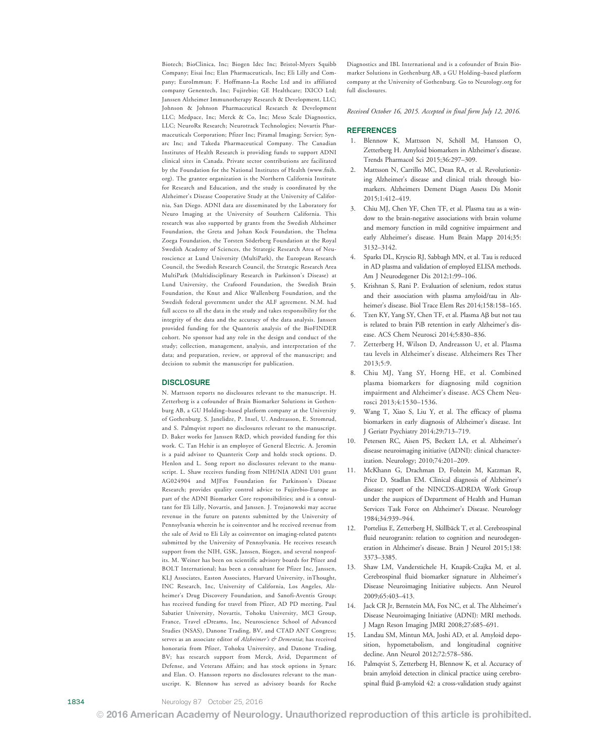Biotech; BioClinica, Inc; Biogen Idec Inc; Bristol-Myers Squibb Company; Eisai Inc; Elan Pharmaceuticals, Inc; Eli Lilly and Company; EuroImmun; F. Hoffmann-La Roche Ltd and its affiliated company Genentech, Inc; Fujirebio; GE Healthcare; IXICO Ltd; Janssen Alzheimer Immunotherapy Research & Development, LLC; Johnson & Johnson Pharmaceutical Research & Development LLC; Medpace, Inc; Merck & Co, Inc; Meso Scale Diagnostics, LLC; NeuroRx Research; Neurotrack Technologies; Novartis Pharmaceuticals Corporation; Pfizer Inc; Piramal Imaging; Servier; Synarc Inc; and Takeda Pharmaceutical Company. The Canadian Institutes of Health Research is providing funds to support ADNI clinical sites in Canada. Private sector contributions are facilitated by the Foundation for the National Institutes of Health [\(www.fnih.](http://www.fnih.org) [org\)](http://www.fnih.org). The grantee organization is the Northern California Institute for Research and Education, and the study is coordinated by the Alzheimer's Disease Cooperative Study at the University of California, San Diego. ADNI data are disseminated by the Laboratory for Neuro Imaging at the University of Southern California. This research was also supported by grants from the Swedish Alzheimer Foundation, the Greta and Johan Kock Foundation, the Thelma Zoega Foundation, the Torsten Söderberg Foundation at the Royal Swedish Academy of Sciences, the Strategic Research Area of Neuroscience at Lund University (MultiPark), the European Research Council, the Swedish Research Council, the Strategic Research Area MultiPark (Multidisciplinary Research in Parkinson's Disease) at Lund University, the Crafoord Foundation, the Swedish Brain Foundation, the Knut and Alice Wallenberg Foundation, and the Swedish federal government under the ALF agreement. N.M. had full access to all the data in the study and takes responsibility for the integrity of the data and the accuracy of the data analysis. Janssen provided funding for the Quanterix analysis of the BioFINDER cohort. No sponsor had any role in the design and conduct of the study; collection, management, analysis, and interpretation of the data; and preparation, review, or approval of the manuscript; and decision to submit the manuscript for publication.

### **DISCLOSURE**

N. Mattsson reports no disclosures relevant to the manuscript. H. Zetterberg is a cofounder of Brain Biomarker Solutions in Gothenburg AB, a GU Holding–based platform company at the University of Gothenburg. S. Janelidze, P. Insel, U. Andreasson, E. Stromrud, and S. Palmqvist report no disclosures relevant to the manuscript. D. Baker works for Janssen R&D, which provided funding for this work. C. Tan Hehir is an employee of General Electric. A. Jeromin is a paid advisor to Quanterix Corp and holds stock options. D. Henlon and L. Song report no disclosures relevant to the manuscript. L. Shaw receives funding from NIH/NIA ADNI U01 grant AG024904 and MJFox Foundation for Parkinson's Disease Research; provides quality control advice to Fujirebio-Europe as part of the ADNI Biomarker Core responsibilities; and is a consultant for Eli Lilly, Novartis, and Janssen. J. Trojanowski may accrue revenue in the future on patents submitted by the University of Pennsylvania wherein he is coinventor and he received revenue from the sale of Avid to Eli Lily as coinventor on imaging-related patents submitted by the University of Pennsylvania. He receives research support from the NIH, GSK, Janssen, Biogen, and several nonprofits. M. Weiner has been on scientific advisory boards for Pfizer and BOLT International; has been a consultant for Pfizer Inc, Janssen, KLJ Associates, Easton Associates, Harvard University, inThought, INC Research, Inc, University of California, Los Angeles, Alzheimer's Drug Discovery Foundation, and Sanofi-Aventis Group; has received funding for travel from Pfizer, AD PD meeting, Paul Sabatier University, Novartis, Tohoku University, MCI Group, France, Travel eDreams, Inc, Neuroscience School of Advanced Studies (NSAS), Danone Trading, BV, and CTAD ANT Congress; serves as an associate editor of Alzheimer's & Dementia; has received honoraria from Pfizer, Tohoku University, and Danone Trading, BV; has research support from Merck, Avid, Department of Defense, and Veterans Affairs; and has stock options in Synarc and Elan. O. Hansson reports no disclosures relevant to the manuscript. K. Blennow has served as advisory boards for Roche

Diagnostics and IBL International and is a cofounder of Brain Biomarker Solutions in Gothenburg AB, a GU Holding–based platform company at the University of Gothenburg. Go to [Neurology.org](http://neurology.org/lookup/doi/10.1212/WNL.0000000000003246) for full disclosures.

Received October 16, 2015. Accepted in final form July 12, 2016.

#### REFERENCES

- 1. Blennow K, Mattsson N, Schöll M, Hansson O, Zetterberg H. Amyloid biomarkers in Alzheimer's disease. Trends Pharmacol Sci 2015;36:297–309.
- 2. Mattsson N, Carrillo MC, Dean RA, et al. Revolutionizing Alzheimer's disease and clinical trials through biomarkers. Alzheimers Dement Diagn Assess Dis Monit 2015;1:412–419.
- 3. Chiu MJ, Chen YF, Chen TF, et al. Plasma tau as a window to the brain-negative associations with brain volume and memory function in mild cognitive impairment and early Alzheimer's disease. Hum Brain Mapp 2014;35: 3132–3142.
- 4. Sparks DL, Kryscio RJ, Sabbagh MN, et al. Tau is reduced in AD plasma and validation of employed ELISA methods. Am J Neurodegener Dis 2012;1:99–106.
- 5. Krishnan S, Rani P. Evaluation of selenium, redox status and their association with plasma amyloid/tau in Alzheimer's disease. Biol Trace Elem Res 2014;158:158–165.
- 6. Tzen KY, Yang SY, Chen TF, et al. Plasma  $A\beta$  but not tau is related to brain PiB retention in early Alzheimer's disease. ACS Chem Neurosci 2014;5:830–836.
- 7. Zetterberg H, Wilson D, Andreasson U, et al. Plasma tau levels in Alzheimer's disease. Alzheimers Res Ther 2013;5:9.
- 8. Chiu MJ, Yang SY, Horng HE, et al. Combined plasma biomarkers for diagnosing mild cognition impairment and Alzheimer's disease. ACS Chem Neurosci 2013;4:1530–1536.
- 9. Wang T, Xiao S, Liu Y, et al. The efficacy of plasma biomarkers in early diagnosis of Alzheimer's disease. Int J Geriatr Psychiatry 2014;29:713–719.
- 10. Petersen RC, Aisen PS, Beckett LA, et al. Alzheimer's disease neuroimaging initiative (ADNI): clinical characterization. Neurology; 2010;74:201–209.
- 11. McKhann G, Drachman D, Folstein M, Katzman R, Price D, Stadlan EM. Clinical diagnosis of Alzheimer's disease: report of the NINCDS-ADRDA Work Group under the auspices of Department of Health and Human Services Task Force on Alzheimer's Disease. Neurology 1984;34:939–944.
- 12. Portelius E, Zetterberg H, Skillbäck T, et al. Cerebrospinal fluid neurogranin: relation to cognition and neurodegeneration in Alzheimer's disease. Brain J Neurol 2015;138: 3373–3385.
- 13. Shaw LM, Vanderstichele H, Knapik-Czajka M, et al. Cerebrospinal fluid biomarker signature in Alzheimer's Disease Neuroimaging Initiative subjects. Ann Neurol 2009;65:403–413.
- 14. Jack CR Jr, Bernstein MA, Fox NC, et al. The Alzheimer's Disease Neuroimaging Initiative (ADNI): MRI methods. J Magn Reson Imaging JMRI 2008;27:685–691.
- 15. Landau SM, Mintun MA, Joshi AD, et al. Amyloid deposition, hypometabolism, and longitudinal cognitive decline. Ann Neurol 2012;72:578–586.
- 16. Palmqvist S, Zetterberg H, Blennow K, et al. Accuracy of brain amyloid detection in clinical practice using cerebrospinal fluid  $\beta$ -amyloid 42: a cross-validation study against